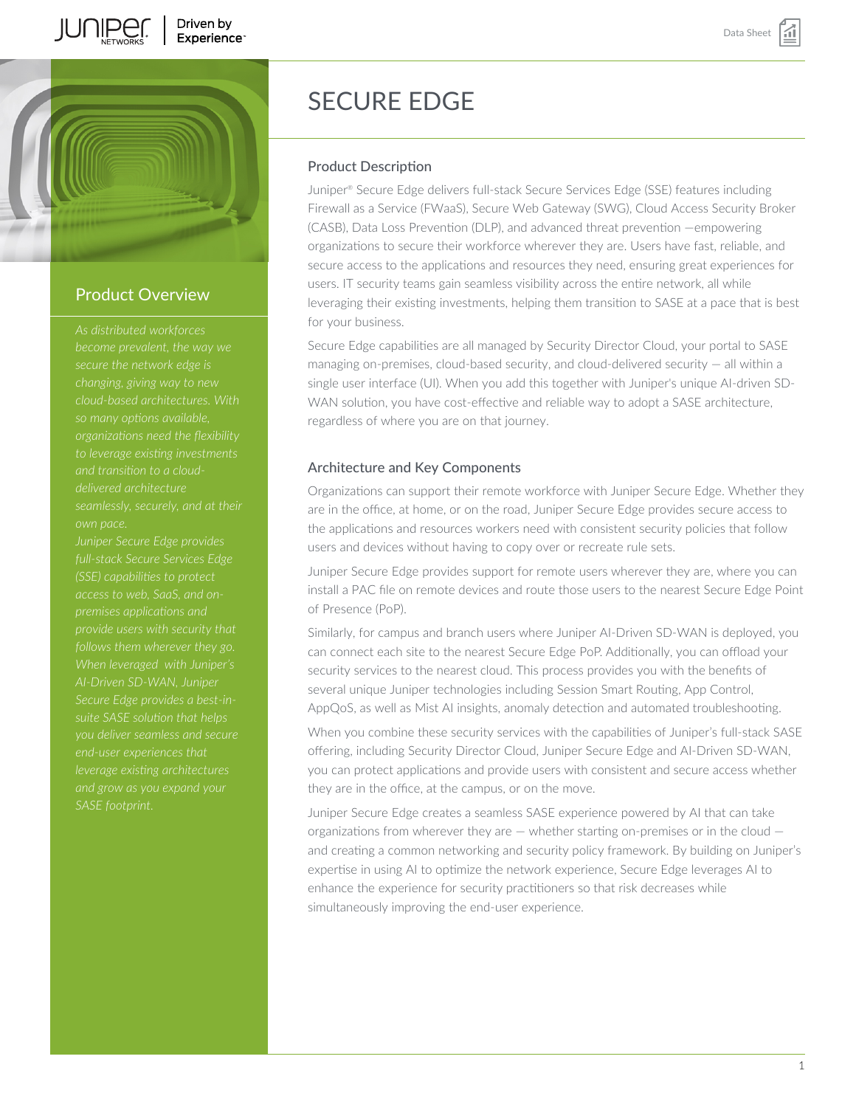





## Product Overview

*become prevalent, the way we secure the network edge is changing, giving way to new so many options available, organizations need the flexibility to leverage existing investments delivered architecture own pace.*

*Juniper Secure Edge provides full-stack Secure Services Edge access to web, SaaS, and onpremises applications and When leveraged with Juniper's AI-Driven SD-WAN, Juniper suite SASE solution that helps you deliver seamless and secure end-user experiences that leverage existing architectures*

# SECURE EDGE

#### Product Description

Juniper® Secure Edge delivers full-stack Secure Services Edge (SSE) features including Firewall as a Service (FWaaS), Secure Web Gateway (SWG), Cloud Access Security Broker (CASB), Data Loss Prevention (DLP), and advanced threat prevention —empowering organizations to secure their workforce wherever they are. Users have fast, reliable, and secure access to the applications and resources they need, ensuring great experiences for users. IT security teams gain seamless visibility across the entire network, all while leveraging their existing investments, helping them transition to SASE at a pace that is best for your business.

Secure Edge capabilities are all managed by Security Director Cloud, your portal to SASE managing on-premises, cloud-based security, and cloud-delivered security — all within a single user interface (UI). When you add this together with Juniper's unique AI-driven SD-WAN solution, you have cost-effective and reliable way to adopt a SASE architecture, regardless of where you are on that journey.

#### Architecture and Key Components

Organizations can support their remote workforce with Juniper Secure Edge. Whether they are in the office, at home, or on the road, Juniper Secure Edge provides secure access to the applications and resources workers need with consistent security policies that follow users and devices without having to copy over or recreate rule sets.

Juniper Secure Edge provides support for remote users wherever they are, where you can install a PAC file on remote devices and route those users to the nearest Secure Edge Point of Presence (PoP).

Similarly, for campus and branch users where Juniper AI-Driven SD-WAN is deployed, you can connect each site to the nearest Secure Edge PoP. Additionally, you can offload your security services to the nearest cloud. This process provides you with the benefits of several unique Juniper technologies including Session Smart Routing, App Control, AppQoS, as well as Mist AI insights, anomaly detection and automated troubleshooting.

When you combine these security services with the capabilities of Juniper's full-stack SASE offering, including Security Director Cloud, Juniper Secure Edge and AI-Driven SD-WAN, you can protect applications and provide users with consistent and secure access whether they are in the office, at the campus, or on the move.

Juniper Secure Edge creates a seamless SASE experience powered by AI that can take organizations from wherever they are  $-$  whether starting on-premises or in the cloud  $$ and creating a common networking and security policy framework. By building on Juniper's expertise in using AI to optimize the network experience, Secure Edge leverages AI to enhance the experience for security practitioners so that risk decreases while simultaneously improving the end-user experience.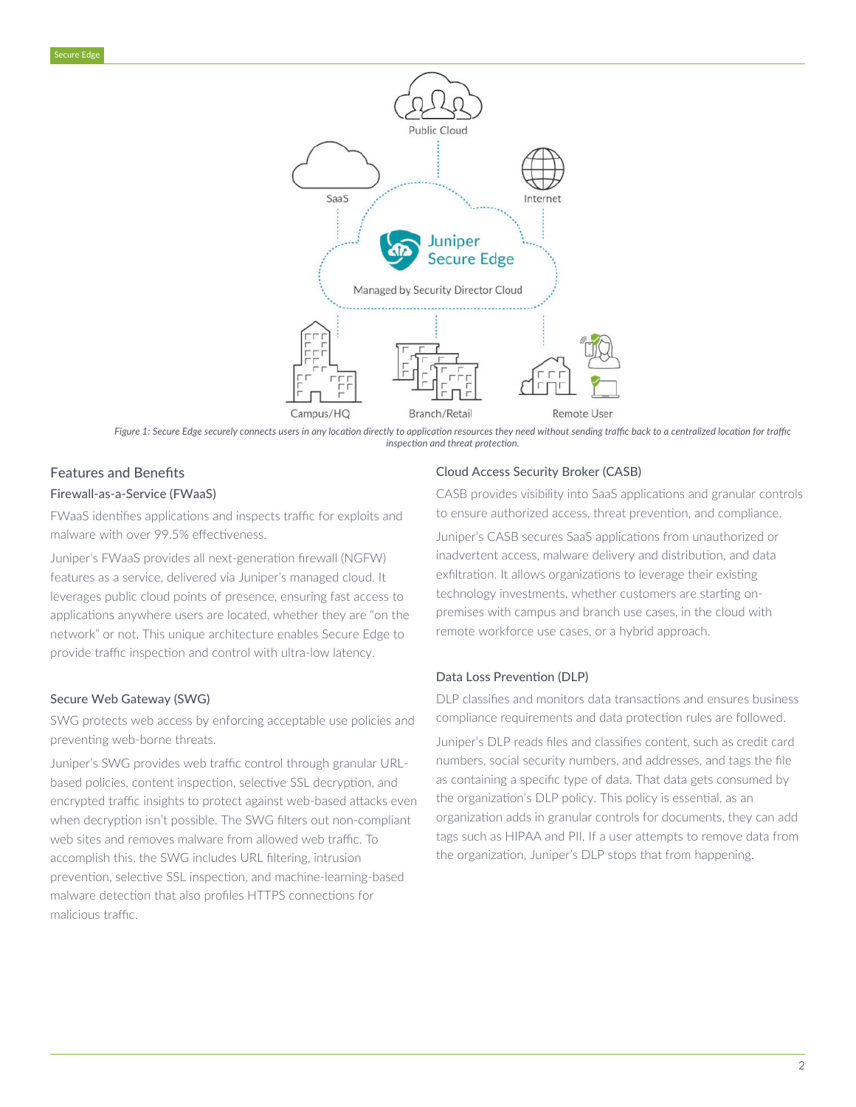

*Figure 1: Secure Edge securely connects users in any location directly to application resources they need without sending traffic back to a centralized location for traffic inspection and threat protection.*

# Features and Benefits Firewall-as-a-Service (FWaaS)

FWaaS identifies applications and inspects traffic for exploits and malware with over 99.5% effectiveness.

Juniper's FWaaS provides all next-generation firewall (NGFW) features as a service, delivered via Juniper's managed cloud. It leverages public cloud points of presence, ensuring fast access to applications anywhere users are located, whether they are "on the network" or not. This unique architecture enables Secure Edge to provide traffic inspection and control with ultra-low latency.

#### Secure Web Gateway (SWG)

SWG protects web access by enforcing acceptable use policies and preventing web-borne threats.

Juniper's SWG provides web traffic control through granular URLbased policies, content inspection, selective SSL decryption, and encrypted traffic insights to protect against web-based attacks even when decryption isn't possible. The SWG filters out non-compliant web sites and removes malware from allowed web traffic. To accomplish this, the SWG includes URL filtering, intrusion prevention, selective SSL inspection, and machine-learning-based malware detection that also profiles HTTPS connections for malicious traffic.

#### Cloud Access Security Broker (CASB)

CASB provides visibility into SaaS applications and granular controls to ensure authorized access, threat prevention, and compliance.

Juniper's CASB secures SaaS applications from unauthorized or inadvertent access, malware delivery and distribution, and data exfiltration. It allows organizations to leverage their existing technology investments, whether customers are starting onpremises with campus and branch use cases, in the cloud with remote workforce use cases, or a hybrid approach.

#### Data Loss Prevention (DLP)

DLP classifies and monitors data transactions and ensures business compliance requirements and data protection rules are followed.

Juniper's DLP reads files and classifies content, such as credit card numbers, social security numbers, and addresses, and tags the file as containing a specific type of data. That data gets consumed by the organization's DLP policy. This policy is essential, as an organization adds in granular controls for documents, they can add tags such as HIPAA and PII. If a user attempts to remove data from the organization, Juniper's DLP stops that from happening.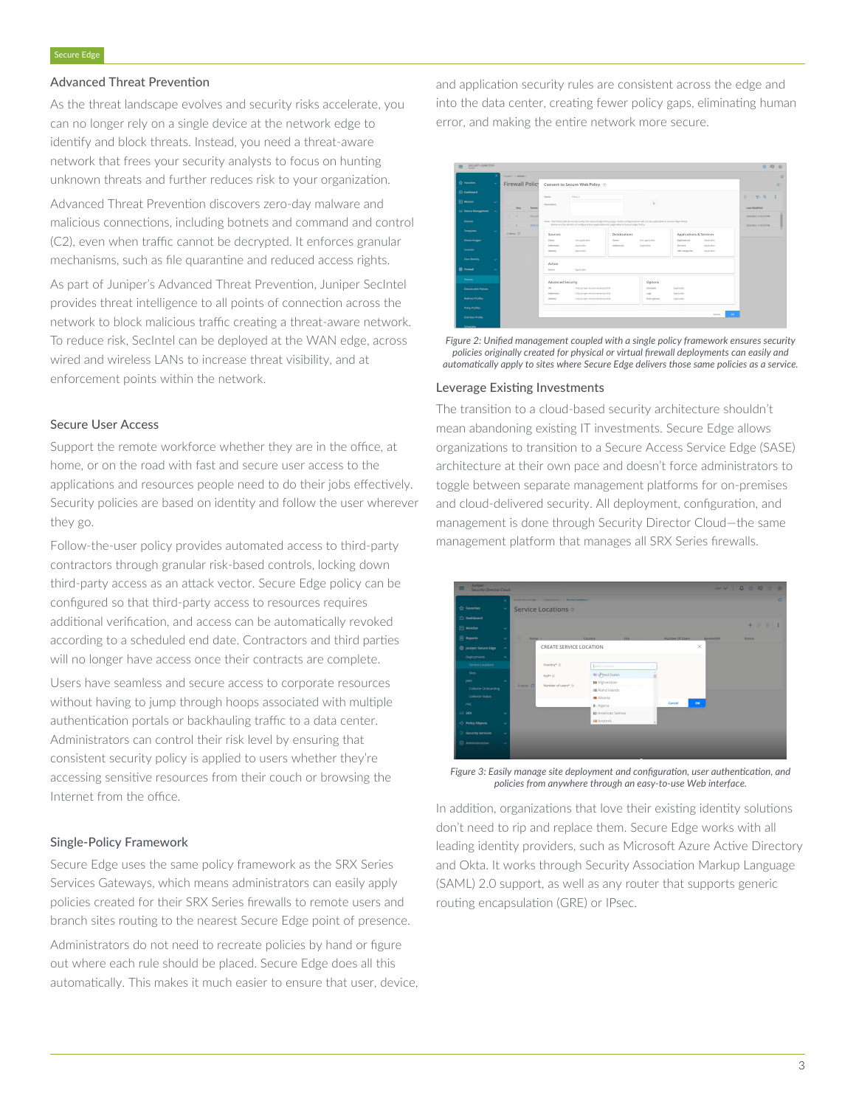#### Advanced Threat Prevention

As the threat landscape evolves and security risks accelerate, you can no longer rely on a single device at the network edge to identify and block threats. Instead, you need a threat-aware network that frees your security analysts to focus on hunting unknown threats and further reduces risk to your organization.

Advanced Threat Prevention discovers zero-day malware and malicious connections, including botnets and command and control (C2), even when traffic cannot be decrypted. It enforces granular mechanisms, such as file quarantine and reduced access rights.

As part of Juniper's Advanced Threat Prevention, Juniper SecIntel provides threat intelligence to all points of connection across the network to block malicious traffic creating a threat-aware network. To reduce risk, SecIntel can be deployed at the WAN edge, across wired and wireless LANs to increase threat visibility, and at enforcement points within the network.

#### Secure User Access

Support the remote workforce whether they are in the office, at home, or on the road with fast and secure user access to the applications and resources people need to do their jobs effectively. Security policies are based on identity and follow the user wherever they go.

Follow-the-user policy provides automated access to third-party contractors through granular risk-based controls, locking down third-party access as an attack vector. Secure Edge policy can be configured so that third-party access to resources requires additional verification, and access can be automatically revoked according to a scheduled end date. Contractors and third parties will no longer have access once their contracts are complete.

Users have seamless and secure access to corporate resources without having to jump through hoops associated with multiple authentication portals or backhauling traffic to a data center. Administrators can control their risk level by ensuring that consistent security policy is applied to users whether they're accessing sensitive resources from their couch or browsing the Internet from the office.

#### Single-Policy Framework

Secure Edge uses the same policy framework as the SRX Series Services Gateways, which means administrators can easily apply policies created for their SRX Series firewalls to remote users and branch sites routing to the nearest Secure Edge point of presence.

Administrators do not need to recreate policies by hand or figure out where each rule should be placed. Secure Edge does all this automatically. This makes it much easier to ensure that user, device, and application security rules are consistent across the edge and into the data center, creating fewer policy gaps, eliminating human error, and making the entire network more secure.



*Figure 2: Unified management coupled with a single policy framework ensures security policies originally created for physical or virtual firewall deployments can easily and automatically apply to sites where Secure Edge delivers those same policies as a service.*

#### Leverage Existing Investments

The transition to a cloud-based security architecture shouldn't mean abandoning existing IT investments. Secure Edge allows organizations to transition to a Secure Access Service Edge (SASE) architecture at their own pace and doesn't force administrators to toggle between separate management platforms for on-premises and cloud-delivered security. All deployment, configuration, and management is done through Security Director Cloud—the same management platform that manages all SRX Series firewalls.



*Figure 3: Easily manage site deployment and configuration, user authentication, and policies from anywhere through an easy-to-use Web interface.*

In addition, organizations that love their existing identity solutions don't need to rip and replace them. Secure Edge works with all leading identity providers, such as Microsoft Azure Active Directory and Okta. It works through Security Association Markup Language (SAML) 2.0 support, as well as any router that supports generic routing encapsulation (GRE) or IPsec.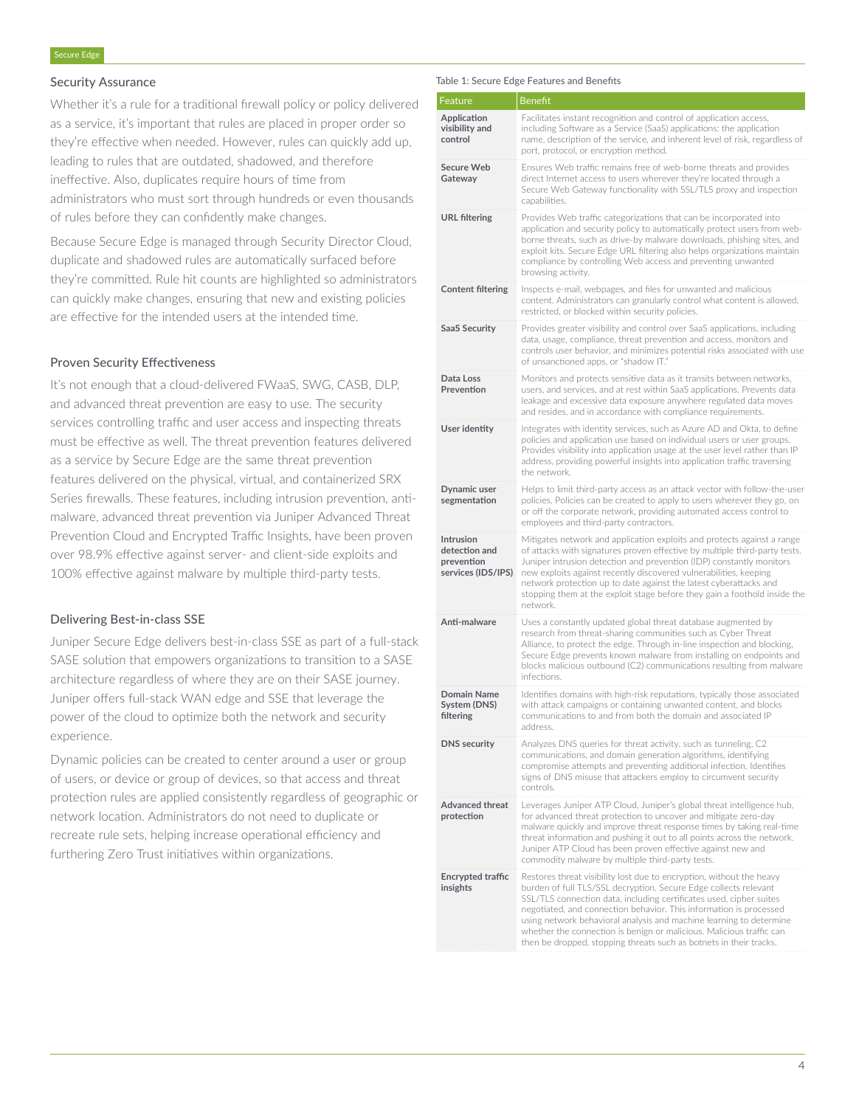#### Security Assurance

Whether it's a rule for a traditional firewall policy or policy delivered as a service, it's important that rules are placed in proper order so they're effective when needed. However, rules can quickly add up, leading to rules that are outdated, shadowed, and therefore ineffective. Also, duplicates require hours of time from administrators who must sort through hundreds or even thousands of rules before they can confidently make changes.

Because Secure Edge is managed through Security Director Cloud, duplicate and shadowed rules are automatically surfaced before they're committed. Rule hit counts are highlighted so administrators can quickly make changes, ensuring that new and existing policies are effective for the intended users at the intended time.

#### Proven Security Effectiveness

It's not enough that a cloud-delivered FWaaS, SWG, CASB, DLP, and advanced threat prevention are easy to use. The security services controlling traffic and user access and inspecting threats must be effective as well. The threat prevention features delivered as a service by Secure Edge are the same threat prevention features delivered on the physical, virtual, and containerized SRX Series firewalls. These features, including intrusion prevention, antimalware, advanced threat prevention via Juniper Advanced Threat Prevention Cloud and Encrypted Traffic Insights, have been proven over 98.9% effective against server- and client-side exploits and 100% effective against malware by multiple third-party tests.

#### Delivering Best-in-class SSE

Juniper Secure Edge delivers best-in-class SSE as part of a full-stack SASE solution that empowers organizations to transition to a SASE architecture regardless of where they are on their SASE journey. Juniper offers full-stack WAN edge and SSE that leverage the power of the cloud to optimize both the network and security experience.

Dynamic policies can be created to center around a user or group of users, or device or group of devices, so that access and threat protection rules are applied consistently regardless of geographic or network location. Administrators do not need to duplicate or recreate rule sets, helping increase operational efficiency and furthering Zero Trust initiatives within organizations.

#### Table 1: Secure Edge Features and Benefits

| Feature                                                               | <b>Benefit</b>                                                                                                                                                                                                                                                                                                                                                                                                                                                                                             |
|-----------------------------------------------------------------------|------------------------------------------------------------------------------------------------------------------------------------------------------------------------------------------------------------------------------------------------------------------------------------------------------------------------------------------------------------------------------------------------------------------------------------------------------------------------------------------------------------|
| Application<br>visibility and<br>control                              | Facilitates instant recognition and control of application access,<br>including Software as a Service (SaaS) applications: the application<br>name, description of the service, and inherent level of risk, regardless of<br>port, protocol, or encryption method.                                                                                                                                                                                                                                         |
| <b>Secure Web</b><br>Gateway                                          | Ensures Web traffic remains free of web-borne threats and provides<br>direct Internet access to users wherever they're located through a<br>Secure Web Gateway functionality with SSL/TLS proxy and inspection<br>capabilities.                                                                                                                                                                                                                                                                            |
| <b>URL</b> filtering                                                  | Provides Web traffic categorizations that can be incorporated into<br>application and security policy to automatically protect users from web-<br>borne threats, such as drive-by malware downloads, phishing sites, and<br>exploit kits. Secure Edge URL filtering also helps organizations maintain<br>compliance by controlling Web access and preventing unwanted<br>browsing activity.                                                                                                                |
| <b>Content filtering</b>                                              | Inspects e-mail, webpages, and files for unwanted and malicious<br>content. Administrators can granularly control what content is allowed,<br>restricted, or blocked within security policies.                                                                                                                                                                                                                                                                                                             |
| <b>SaaS Security</b>                                                  | Provides greater visibility and control over SaaS applications, including<br>data, usage, compliance, threat prevention and access, monitors and<br>controls user behavior, and minimizes potential risks associated with use<br>of unsanctioned apps, or "shadow IT."                                                                                                                                                                                                                                     |
| Data Loss<br>Prevention                                               | Monitors and protects sensitive data as it transits between networks,<br>users, and services, and at rest within SaaS applications. Prevents data<br>leakage and excessive data exposure anywhere regulated data moves<br>and resides, and in accordance with compliance requirements.                                                                                                                                                                                                                     |
| User identity                                                         | Integrates with identity services, such as Azure AD and Okta, to define<br>policies and application use based on individual users or user groups.<br>Provides visibility into application usage at the user level rather than IP<br>address, providing powerful insights into application traffic traversing<br>the network.                                                                                                                                                                               |
| Dynamic user<br>segmentation                                          | Helps to limit third-party access as an attack vector with follow-the-user<br>policies. Policies can be created to apply to users wherever they go, on<br>or off the corporate network, providing automated access control to<br>employees and third-party contractors.                                                                                                                                                                                                                                    |
| <b>Intrusion</b><br>detection and<br>prevention<br>services (IDS/IPS) | Mitigates network and application exploits and protects against a range<br>of attacks with signatures proven effective by multiple third-party tests.<br>Juniper intrusion detection and prevention (IDP) constantly monitors<br>new exploits against recently discovered vulnerabilities, keeping<br>network protection up to date against the latest cyberattacks and<br>stopping them at the exploit stage before they gain a foothold inside the<br>network.                                           |
| Anti-malware                                                          | Uses a constantly updated global threat database augmented by<br>research from threat-sharing communities such as Cyber Threat<br>Alliance, to protect the edge. Through in-line inspection and blocking,<br>Secure Edge prevents known malware from installing on endpoints and<br>blocks malicious outbound (C2) communications resulting from malware<br>infections                                                                                                                                     |
| Domain Name<br>System (DNS)<br>filtering                              | Identifies domains with high-risk reputations, typically those associated<br>with attack campaigns or containing unwanted content, and blocks<br>communications to and from both the domain and associated IP<br>address.                                                                                                                                                                                                                                                                                  |
| <b>DNS</b> security                                                   | Analyzes DNS queries for threat activity, such as tunneling, C2<br>communications, and domain generation algorithms, identifying<br>compromise attempts and preventing additional infection. Identifies<br>signs of DNS misuse that attackers employ to circumvent security<br>controls.                                                                                                                                                                                                                   |
| <b>Advanced threat</b><br>protection                                  | Leverages Juniper ATP Cloud, Juniper's global threat intelligence hub,<br>for advanced threat protection to uncover and mitigate zero-day<br>malware quickly and improve threat response times by taking real-time<br>threat information and pushing it out to all points across the network.<br>Juniper ATP Cloud has been proven effective against new and<br>commodity malware by multiple third-party tests.                                                                                           |
| <b>Encrypted traffic</b><br>insights                                  | Restores threat visibility lost due to encryption, without the heavy<br>burden of full TLS/SSL decryption. Secure Edge collects relevant<br>SSL/TLS connection data, including certificates used, cipher suites<br>negotiated, and connection behavior. This information is processed<br>using network behavioral analysis and machine learning to determine<br>whether the connection is benign or malicious. Malicious traffic can<br>then be dropped, stopping threats such as botnets in their tracks. |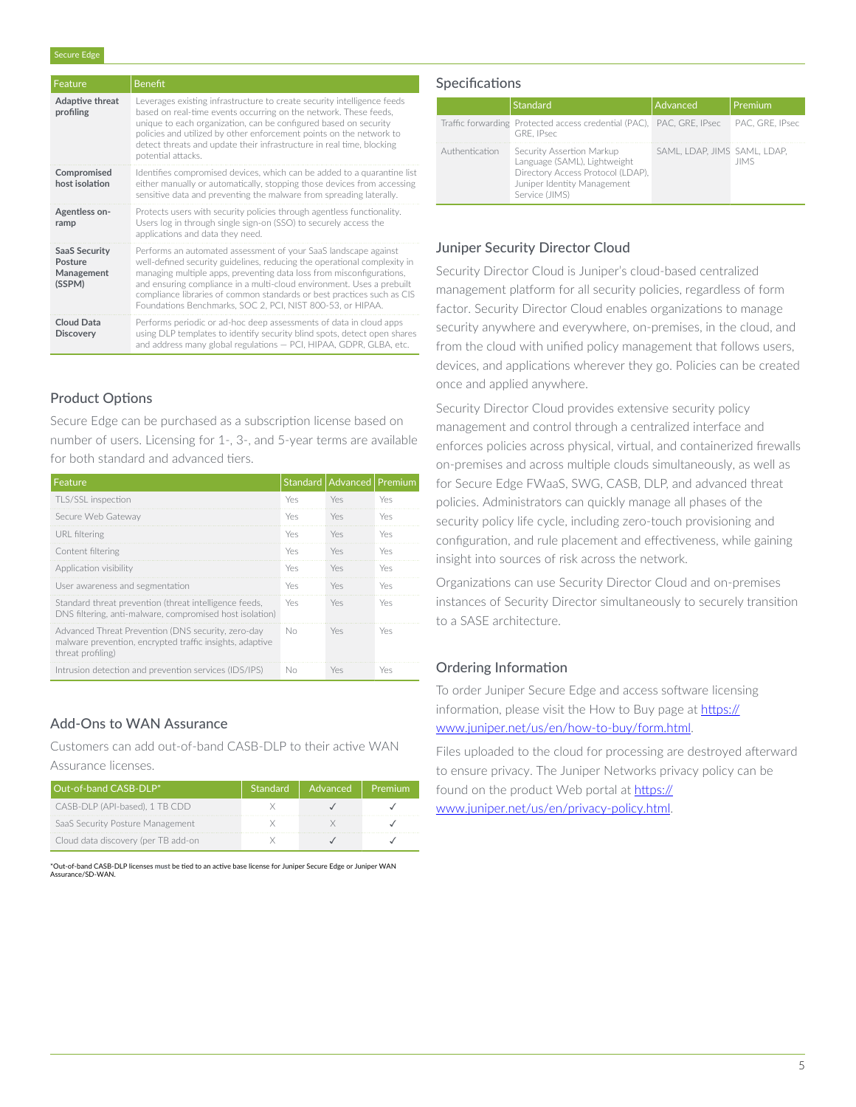| Feature                                                 | <b>Benefit</b>                                                                                                                                                                                                                                                                                                                                                                                                                       |
|---------------------------------------------------------|--------------------------------------------------------------------------------------------------------------------------------------------------------------------------------------------------------------------------------------------------------------------------------------------------------------------------------------------------------------------------------------------------------------------------------------|
| Adaptive threat<br>profiling                            | Leverages existing infrastructure to create security intelligence feeds<br>based on real-time events occurring on the network. These feeds,<br>unique to each organization, can be configured based on security<br>policies and utilized by other enforcement points on the network to<br>detect threats and update their infrastructure in real time, blocking<br>potential attacks.                                                |
| Compromised<br>host isolation                           | Identifies compromised devices, which can be added to a quarantine list<br>either manually or automatically, stopping those devices from accessing<br>sensitive data and preventing the malware from spreading laterally.                                                                                                                                                                                                            |
| Agentless on-<br>ramp                                   | Protects users with security policies through agentless functionality.<br>Users log in through single sign-on (SSO) to securely access the<br>applications and data they need.                                                                                                                                                                                                                                                       |
| <b>SaaS Security</b><br>Posture<br>Management<br>(SSPM) | Performs an automated assessment of your SaaS landscape against<br>well-defined security guidelines, reducing the operational complexity in<br>managing multiple apps, preventing data loss from misconfigurations,<br>and ensuring compliance in a multi-cloud environment. Uses a prebuilt<br>compliance libraries of common standards or best practices such as CIS<br>Foundations Benchmarks, SOC 2, PCI, NIST 800-53, or HIPAA. |
| Cloud Data<br><b>Discovery</b>                          | Performs periodic or ad-hoc deep assessments of data in cloud apps<br>using DLP templates to identify security blind spots, detect open shares<br>and address many global regulations - PCI, HIPAA, GDPR, GLBA, etc.                                                                                                                                                                                                                 |

#### Product Options

Secure Edge can be purchased as a subscription license based on number of users. Licensing for 1-, 3-, and 5-year terms are available for both standard and advanced tiers.

| Feature                                                                                                                             |     | Standard   Advanced   Premium |     |
|-------------------------------------------------------------------------------------------------------------------------------------|-----|-------------------------------|-----|
| TLS/SSL inspection                                                                                                                  | Yes | Yes                           | Yes |
| Secure Web Gateway                                                                                                                  | Yes | Yes                           | Yes |
| URL filtering                                                                                                                       | Yes | Yes                           | Yes |
| Content filtering                                                                                                                   | Yes | Yes                           | Yes |
| Application visibility                                                                                                              | Yes | Yes                           | Yes |
| User awareness and segmentation                                                                                                     | Yes | Yes                           | Yes |
| Standard threat prevention (threat intelligence feeds,<br>DNS filtering, anti-malware, compromised host isolation)                  | Yes | Yes                           | Yes |
| Advanced Threat Prevention (DNS security, zero-day<br>malware prevention, encrypted traffic insights, adaptive<br>threat profiling) | No  | Yes                           | Yes |
| Intrusion detection and prevention services (IDS/IPS)                                                                               | Nο  | Yes                           | Yes |

## Add-Ons to WAN Assurance

Customers can add out-of-band CASB-DLP to their active WAN Assurance licenses.

| Out-of-band CASB-DLP*               | Standard | Advanced | Premium. |
|-------------------------------------|----------|----------|----------|
| CASB-DLP (API-based), 1 TB CDD      |          |          |          |
| SaaS Security Posture Management    |          |          |          |
| Cloud data discovery (per TB add-on |          |          |          |

\*Out-of-band CASB-DLP licenses **must** be tied to an active base license for Juniper Secure Edge or Juniper WAN at-or-band CASB-<br>surance/SD-WAN

## **Specifications**

|                | Standard                                                                                                                                        | Advanced                     | Premium         |
|----------------|-------------------------------------------------------------------------------------------------------------------------------------------------|------------------------------|-----------------|
|                | Traffic forwarding Protected access credential (PAC), PAC, GRE, IPsec<br>GRE. IPsec                                                             |                              | PAC. GRE. IPsec |
| Authentication | Security Assertion Markup<br>Language (SAML), Lightweight<br>Directory Access Protocol (LDAP),<br>Juniper Identity Management<br>Service (JIMS) | SAML, LDAP, JIMS SAML, LDAP, | <b>JIMS</b>     |

#### Juniper Security Director Cloud

Security Director Cloud is Juniper's cloud-based centralized management platform for all security policies, regardless of form factor. Security Director Cloud enables organizations to manage security anywhere and everywhere, on-premises, in the cloud, and from the cloud with unified policy management that follows users, devices, and applications wherever they go. Policies can be created once and applied anywhere.

Security Director Cloud provides extensive security policy management and control through a centralized interface and enforces policies across physical, virtual, and containerized firewalls on-premises and across multiple clouds simultaneously, as well as for Secure Edge FWaaS, SWG, CASB, DLP, and advanced threat policies. Administrators can quickly manage all phases of the security policy life cycle, including zero-touch provisioning and configuration, and rule placement and effectiveness, while gaining insight into sources of risk across the network.

Organizations can use Security Director Cloud and on-premises instances of Security Director simultaneously to securely transition to a SASE architecture.

## Ordering Information

To order Juniper Secure Edge and access software licensing information, please visit the How to Buy page at [https://](https://www.juniper.net/us/en/how-to-buy/form.html) [www.juniper.net/us/en/how-to-buy/form.html](https://www.juniper.net/us/en/how-to-buy/form.html).

Files uploaded to the cloud for processing are destroyed afterward to ensure privacy. The Juniper Networks privacy policy can be found on the product Web portal at [https://](https://www.juniper.net/us/en/privacy-policy.html) [www.juniper.net/us/en/privacy-policy.html.](https://www.juniper.net/us/en/privacy-policy.html)